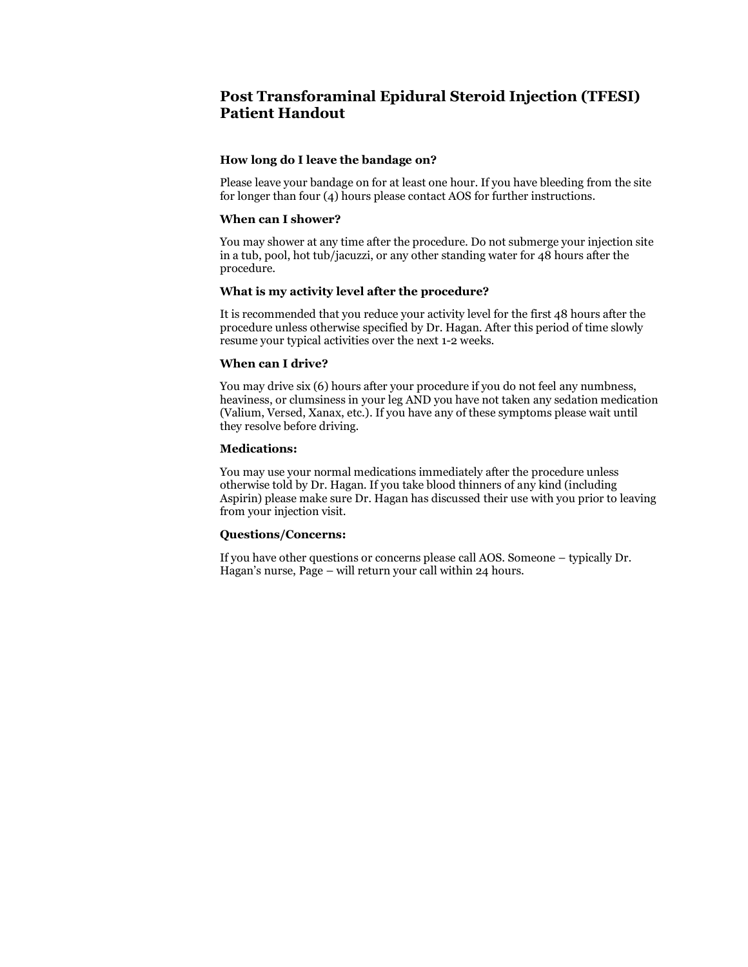# **Post Transforaminal Epidural Steroid Injection (TFESI) Patient Handout**

# **How long do I leave the bandage on?**

Please leave your bandage on for at least one hour. If you have bleeding from the site for longer than four (4) hours please contact AOS for further instructions.

## **When can I shower?**

You may shower at any time after the procedure. Do not submerge your injection site in a tub, pool, hot tub/jacuzzi, or any other standing water for 48 hours after the procedure.

## **What is my activity level after the procedure?**

It is recommended that you reduce your activity level for the first 48 hours after the procedure unless otherwise specified by Dr. Hagan. After this period of time slowly resume your typical activities over the next 1-2 weeks.

## **When can I drive?**

You may drive six (6) hours after your procedure if you do not feel any numbness, heaviness, or clumsiness in your leg AND you have not taken any sedation medication (Valium, Versed, Xanax, etc.). If you have any of these symptoms please wait until they resolve before driving.

# **Medications:**

You may use your normal medications immediately after the procedure unless otherwise told by Dr. Hagan. If you take blood thinners of any kind (including Aspirin) please make sure Dr. Hagan has discussed their use with you prior to leaving from your injection visit.

# **Questions/Concerns:**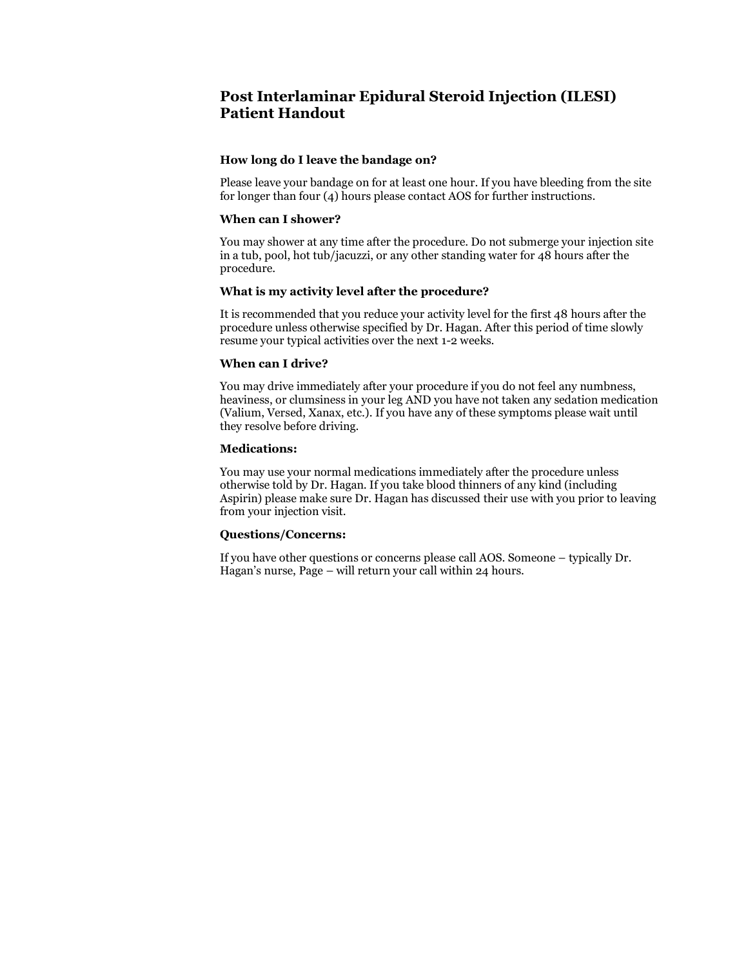# **Post Interlaminar Epidural Steroid Injection (ILESI) Patient Handout**

# **How long do I leave the bandage on?**

Please leave your bandage on for at least one hour. If you have bleeding from the site for longer than four (4) hours please contact AOS for further instructions.

## **When can I shower?**

You may shower at any time after the procedure. Do not submerge your injection site in a tub, pool, hot tub/jacuzzi, or any other standing water for 48 hours after the procedure.

## **What is my activity level after the procedure?**

It is recommended that you reduce your activity level for the first 48 hours after the procedure unless otherwise specified by Dr. Hagan. After this period of time slowly resume your typical activities over the next 1-2 weeks.

## **When can I drive?**

You may drive immediately after your procedure if you do not feel any numbness, heaviness, or clumsiness in your leg AND you have not taken any sedation medication (Valium, Versed, Xanax, etc.). If you have any of these symptoms please wait until they resolve before driving.

# **Medications:**

You may use your normal medications immediately after the procedure unless otherwise told by Dr. Hagan. If you take blood thinners of any kind (including Aspirin) please make sure Dr. Hagan has discussed their use with you prior to leaving from your injection visit.

# **Questions/Concerns:**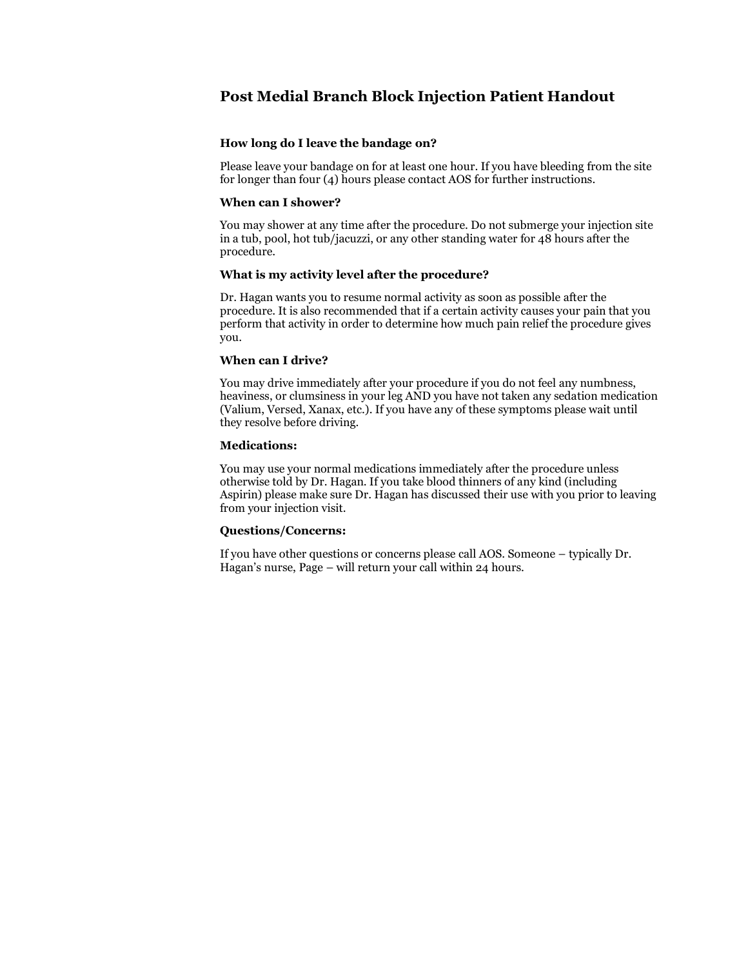# **Post Medial Branch Block Injection Patient Handout**

# **How long do I leave the bandage on?**

Please leave your bandage on for at least one hour. If you have bleeding from the site for longer than four (4) hours please contact AOS for further instructions.

# **When can I shower?**

You may shower at any time after the procedure. Do not submerge your injection site in a tub, pool, hot tub/jacuzzi, or any other standing water for 48 hours after the procedure.

# **What is my activity level after the procedure?**

Dr. Hagan wants you to resume normal activity as soon as possible after the procedure. It is also recommended that if a certain activity causes your pain that you perform that activity in order to determine how much pain relief the procedure gives you.

## **When can I drive?**

You may drive immediately after your procedure if you do not feel any numbness, heaviness, or clumsiness in your leg AND you have not taken any sedation medication (Valium, Versed, Xanax, etc.). If you have any of these symptoms please wait until they resolve before driving.

## **Medications:**

You may use your normal medications immediately after the procedure unless otherwise told by Dr. Hagan. If you take blood thinners of any kind (including Aspirin) please make sure Dr. Hagan has discussed their use with you prior to leaving from your injection visit.

# **Questions/Concerns:**